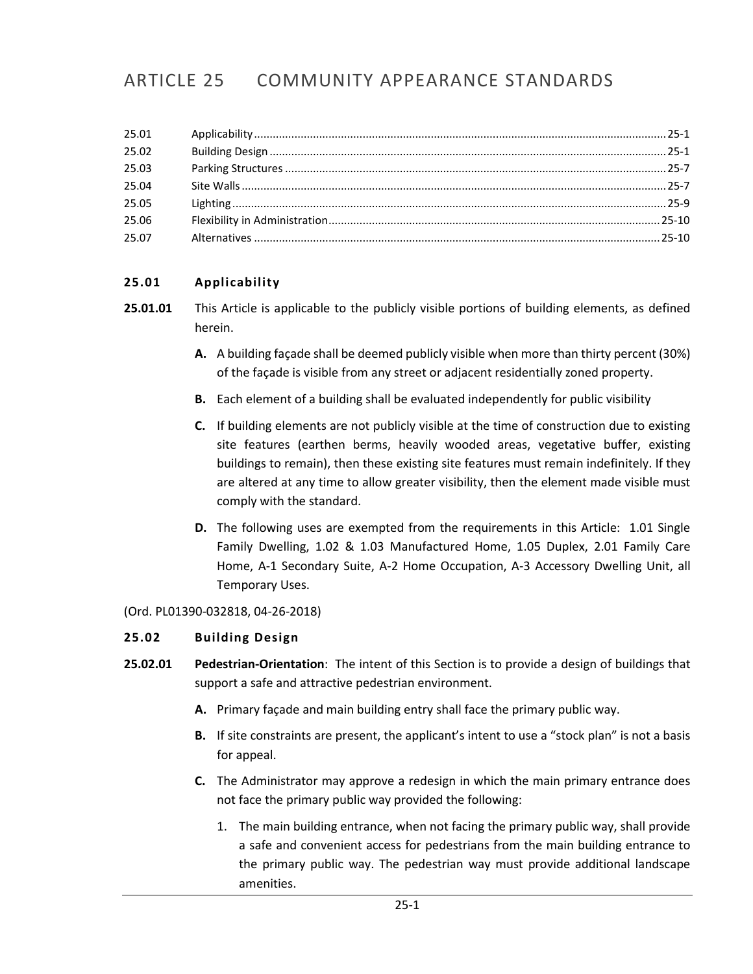# ARTICLE 25 COMMUNITY APPEARANCE STANDARDS

## <span id="page-0-0"></span>**25.01 Applicability**

- **25.01.01** This Article is applicable to the publicly visible portions of building elements, as defined herein.
	- **A.** A building façade shall be deemed publicly visible when more than thirty percent (30%) of the façade is visible from any street or adjacent residentially zoned property.
	- **B.** Each element of a building shall be evaluated independently for public visibility
	- **C.** If building elements are not publicly visible at the time of construction due to existing site features (earthen berms, heavily wooded areas, vegetative buffer, existing buildings to remain), then these existing site features must remain indefinitely. If they are altered at any time to allow greater visibility, then the element made visible must comply with the standard.
	- **D.** The following uses are exempted from the requirements in this Article: 1.01 Single Family Dwelling, 1.02 & 1.03 Manufactured Home, 1.05 Duplex, 2.01 Family Care Home, A-1 Secondary Suite, A-2 Home Occupation, A-3 Accessory Dwelling Unit, all Temporary Uses.

#### (Ord. PL01390-032818, 04-26-2018)

### <span id="page-0-1"></span>**25.02 Building Design**

- **25.02.01 Pedestrian-Orientation**: The intent of this Section is to provide a design of buildings that support a safe and attractive pedestrian environment.
	- **A.** Primary façade and main building entry shall face the primary public way.
	- **B.** If site constraints are present, the applicant's intent to use a "stock plan" is not a basis for appeal.
	- **C.** The Administrator may approve a redesign in which the main primary entrance does not face the primary public way provided the following:
		- 1. The main building entrance, when not facing the primary public way, shall provide a safe and convenient access for pedestrians from the main building entrance to the primary public way. The pedestrian way must provide additional landscape amenities.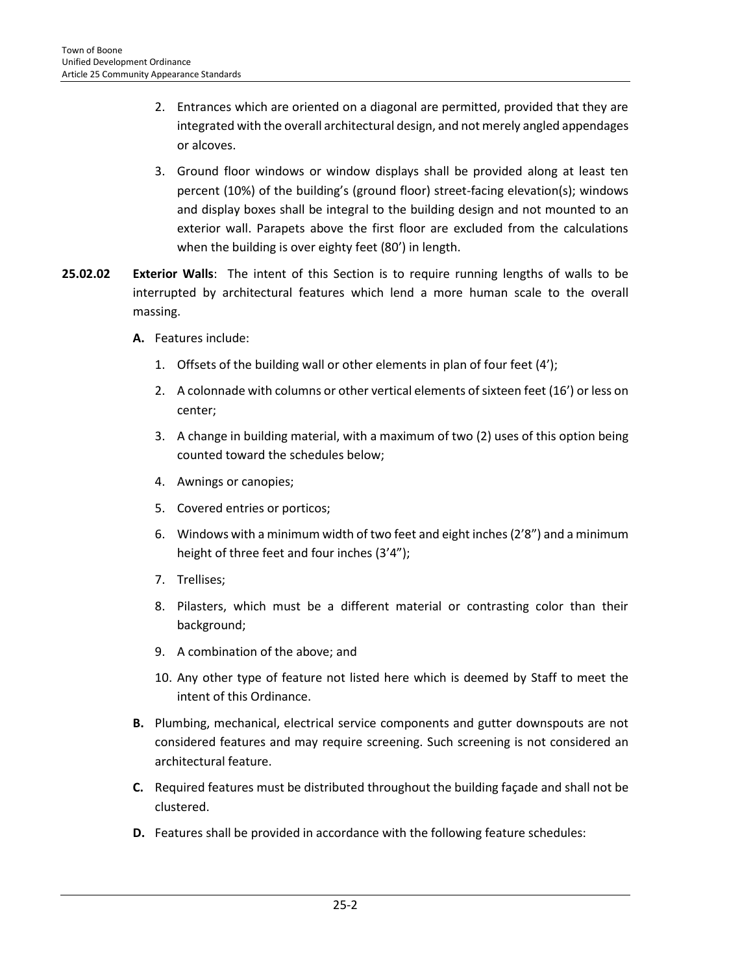- 2. Entrances which are oriented on a diagonal are permitted, provided that they are integrated with the overall architectural design, and not merely angled appendages or alcoves.
- 3. Ground floor windows or window displays shall be provided along at least ten percent (10%) of the building's (ground floor) street-facing elevation(s); windows and display boxes shall be integral to the building design and not mounted to an exterior wall. Parapets above the first floor are excluded from the calculations when the building is over eighty feet (80') in length.
- **25.02.02 Exterior Walls**: The intent of this Section is to require running lengths of walls to be interrupted by architectural features which lend a more human scale to the overall massing.
	- **A.** Features include:
		- 1. Offsets of the building wall or other elements in plan of four feet (4');
		- 2. A colonnade with columns or other vertical elements of sixteen feet (16') or less on center;
		- 3. A change in building material, with a maximum of two (2) uses of this option being counted toward the schedules below;
		- 4. Awnings or canopies;
		- 5. Covered entries or porticos;
		- 6. Windows with a minimum width of two feet and eight inches (2'8") and a minimum height of three feet and four inches (3'4");
		- 7. Trellises;
		- 8. Pilasters, which must be a different material or contrasting color than their background;
		- 9. A combination of the above; and
		- 10. Any other type of feature not listed here which is deemed by Staff to meet the intent of this Ordinance.
	- **B.** Plumbing, mechanical, electrical service components and gutter downspouts are not considered features and may require screening. Such screening is not considered an architectural feature.
	- **C.** Required features must be distributed throughout the building façade and shall not be clustered.
	- **D.** Features shall be provided in accordance with the following feature schedules: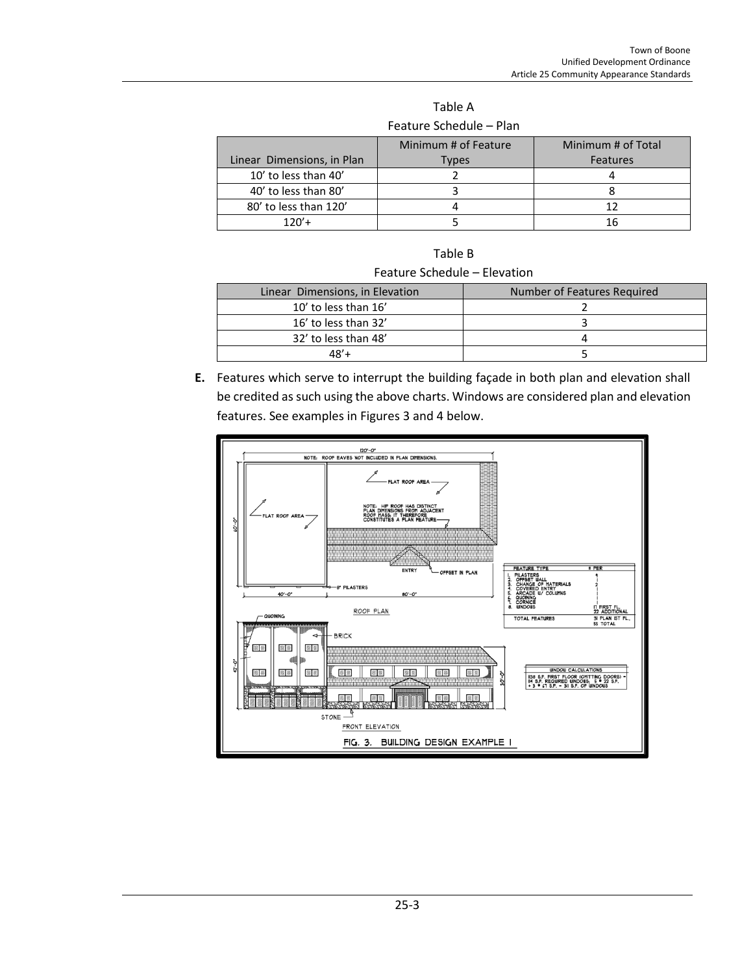| <b>Feature Schedule – Plan</b> |                      |                    |  |  |  |  |
|--------------------------------|----------------------|--------------------|--|--|--|--|
|                                | Minimum # of Feature | Minimum # of Total |  |  |  |  |
| Linear Dimensions, in Plan     | <b>Types</b>         | Features           |  |  |  |  |
| 10' to less than 40'           |                      |                    |  |  |  |  |
| 40' to less than 80'           |                      |                    |  |  |  |  |
| 80' to less than 120'          |                      | 12                 |  |  |  |  |
| $120'$ +                       |                      | 16                 |  |  |  |  |

Table A Feature Schedule – Plan

| Table B |  |
|---------|--|
|         |  |

| Feature Schedule - Elevation |
|------------------------------|
|------------------------------|

| Number of Features Required |
|-----------------------------|
|                             |
|                             |
|                             |
|                             |
|                             |

**E.** Features which serve to interrupt the building façade in both plan and elevation shall be credited as such using the above charts. Windows are considered plan and elevation features. See examples in Figures 3 and 4 below.

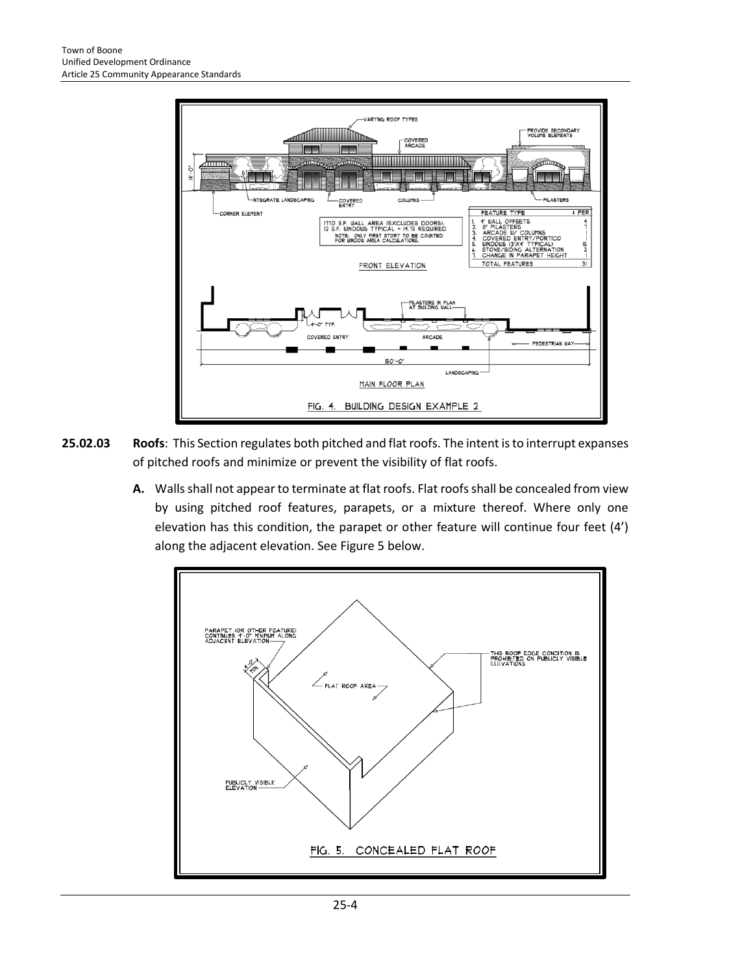

- **25.02.03 Roofs**: This Section regulates both pitched and flat roofs. The intent is to interrupt expanses of pitched roofs and minimize or prevent the visibility of flat roofs.
	- **A.** Walls shall not appear to terminate at flat roofs. Flat roofs shall be concealed from view by using pitched roof features, parapets, or a mixture thereof. Where only one elevation has this condition, the parapet or other feature will continue four feet (4') along the adjacent elevation. See Figure 5 below.

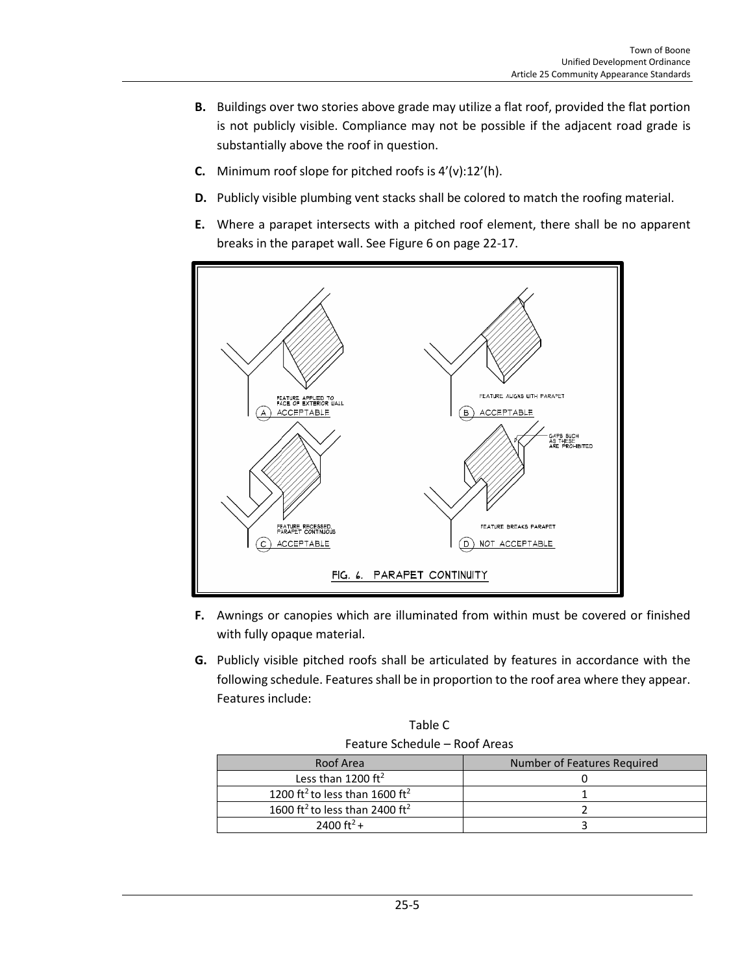- **B.** Buildings over two stories above grade may utilize a flat roof, provided the flat portion is not publicly visible. Compliance may not be possible if the adjacent road grade is substantially above the roof in question.
- **C.** Minimum roof slope for pitched roofs is 4'(v):12'(h).
- **D.** Publicly visible plumbing vent stacks shall be colored to match the roofing material.
- **E.** Where a parapet intersects with a pitched roof element, there shall be no apparent breaks in the parapet wall. See Figure 6 on page 22-17.



- **F.** Awnings or canopies which are illuminated from within must be covered or finished with fully opaque material.
- **G.** Publicly visible pitched roofs shall be articulated by features in accordance with the following schedule. Features shall be in proportion to the roof area where they appear. Features include:

Table C Feature Schedule – Roof Areas

| Roof Area                                              | Number of Features Required |  |
|--------------------------------------------------------|-----------------------------|--|
| Less than 1200 $ft^2$                                  |                             |  |
| 1200 ft <sup>2</sup> to less than 1600 ft <sup>2</sup> |                             |  |
| 1600 ft <sup>2</sup> to less than 2400 ft <sup>2</sup> |                             |  |
| 2400 ft <sup>2</sup> +                                 |                             |  |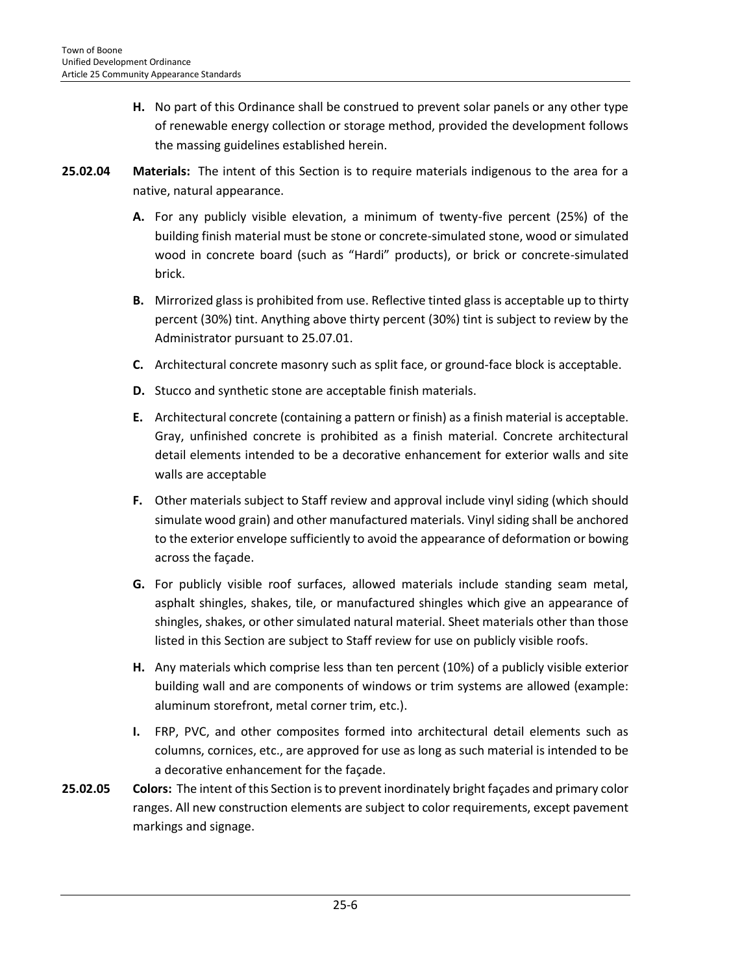- **H.** No part of this Ordinance shall be construed to prevent solar panels or any other type of renewable energy collection or storage method, provided the development follows the massing guidelines established herein.
- **25.02.04 Materials:** The intent of this Section is to require materials indigenous to the area for a native, natural appearance.
	- **A.** For any publicly visible elevation, a minimum of twenty-five percent (25%) of the building finish material must be stone or concrete-simulated stone, wood or simulated wood in concrete board (such as "Hardi" products), or brick or concrete-simulated brick.
	- **B.** Mirrorized glass is prohibited from use. Reflective tinted glass is acceptable up to thirty percent (30%) tint. Anything above thirty percent (30%) tint is subject to review by the Administrator pursuant to 25.07.01.
	- **C.** Architectural concrete masonry such as split face, or ground-face block is acceptable.
	- **D.** Stucco and synthetic stone are acceptable finish materials.
	- **E.** Architectural concrete (containing a pattern or finish) as a finish material is acceptable. Gray, unfinished concrete is prohibited as a finish material. Concrete architectural detail elements intended to be a decorative enhancement for exterior walls and site walls are acceptable
	- **F.** Other materials subject to Staff review and approval include vinyl siding (which should simulate wood grain) and other manufactured materials. Vinyl siding shall be anchored to the exterior envelope sufficiently to avoid the appearance of deformation or bowing across the façade.
	- **G.** For publicly visible roof surfaces, allowed materials include standing seam metal, asphalt shingles, shakes, tile, or manufactured shingles which give an appearance of shingles, shakes, or other simulated natural material. Sheet materials other than those listed in this Section are subject to Staff review for use on publicly visible roofs.
	- **H.** Any materials which comprise less than ten percent (10%) of a publicly visible exterior building wall and are components of windows or trim systems are allowed (example: aluminum storefront, metal corner trim, etc.).
	- **I.** FRP, PVC, and other composites formed into architectural detail elements such as columns, cornices, etc., are approved for use as long as such material is intended to be a decorative enhancement for the façade.
- **25.02.05 Colors:** The intent of this Section is to prevent inordinately bright façades and primary color ranges. All new construction elements are subject to color requirements, except pavement markings and signage.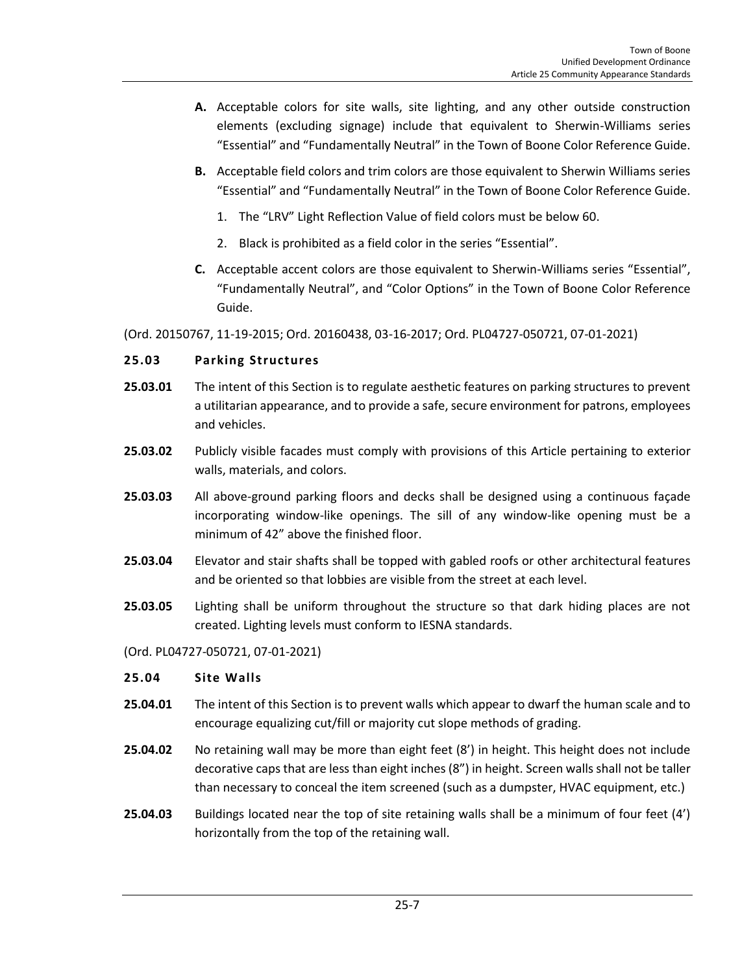- **A.** Acceptable colors for site walls, site lighting, and any other outside construction elements (excluding signage) include that equivalent to Sherwin-Williams series "Essential" and "Fundamentally Neutral" in the Town of Boone Color Reference Guide.
- **B.** Acceptable field colors and trim colors are those equivalent to Sherwin Williams series "Essential" and "Fundamentally Neutral" in the Town of Boone Color Reference Guide.
	- 1. The "LRV" Light Reflection Value of field colors must be below 60.
	- 2. Black is prohibited as a field color in the series "Essential".
- **C.** Acceptable accent colors are those equivalent to Sherwin-Williams series "Essential", "Fundamentally Neutral", and "Color Options" in the Town of Boone Color Reference Guide.

(Ord. 20150767, 11-19-2015; Ord. 20160438, 03-16-2017; Ord. PL04727-050721, 07-01-2021)

### <span id="page-6-0"></span>**25.03 Parking Structures**

- **25.03.01** The intent of this Section is to regulate aesthetic features on parking structures to prevent a utilitarian appearance, and to provide a safe, secure environment for patrons, employees and vehicles.
- **25.03.02** Publicly visible facades must comply with provisions of this Article pertaining to exterior walls, materials, and colors.
- **25.03.03** All above-ground parking floors and decks shall be designed using a continuous façade incorporating window-like openings. The sill of any window-like opening must be a minimum of 42" above the finished floor.
- **25.03.04** Elevator and stair shafts shall be topped with gabled roofs or other architectural features and be oriented so that lobbies are visible from the street at each level.
- **25.03.05** Lighting shall be uniform throughout the structure so that dark hiding places are not created. Lighting levels must conform to IESNA standards.

### (Ord. PL04727-050721, 07-01-2021)

### <span id="page-6-1"></span>**25.04 Site Walls**

- **25.04.01** The intent of this Section is to prevent walls which appear to dwarf the human scale and to encourage equalizing cut/fill or majority cut slope methods of grading.
- **25.04.02** No retaining wall may be more than eight feet (8') in height. This height does not include decorative caps that are less than eight inches (8") in height. Screen walls shall not be taller than necessary to conceal the item screened (such as a dumpster, HVAC equipment, etc.)
- **25.04.03** Buildings located near the top of site retaining walls shall be a minimum of four feet (4') horizontally from the top of the retaining wall.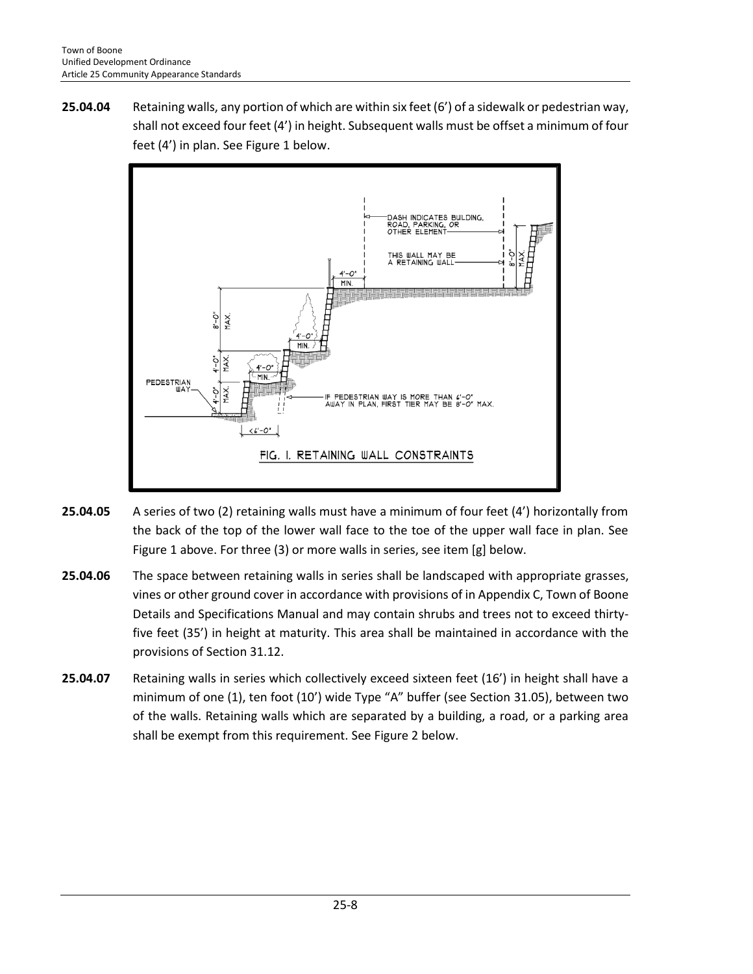**25.04.04** Retaining walls, any portion of which are within six feet (6') of a sidewalk or pedestrian way, shall not exceed four feet (4') in height. Subsequent walls must be offset a minimum of four feet (4') in plan. See Figure 1 below.



- **25.04.05** A series of two (2) retaining walls must have a minimum of four feet (4') horizontally from the back of the top of the lower wall face to the toe of the upper wall face in plan. See Figure 1 above. For three (3) or more walls in series, see item [g] below.
- **25.04.06** The space between retaining walls in series shall be landscaped with appropriate grasses, vines or other ground cover in accordance with provisions of in Appendix C, Town of Boone Details and Specifications Manual and may contain shrubs and trees not to exceed thirtyfive feet (35') in height at maturity. This area shall be maintained in accordance with the provisions of Section 31.12.
- **25.04.07** Retaining walls in series which collectively exceed sixteen feet (16') in height shall have a minimum of one (1), ten foot (10') wide Type "A" buffer (see Section 31.05), between two of the walls. Retaining walls which are separated by a building, a road, or a parking area shall be exempt from this requirement. See Figure 2 below.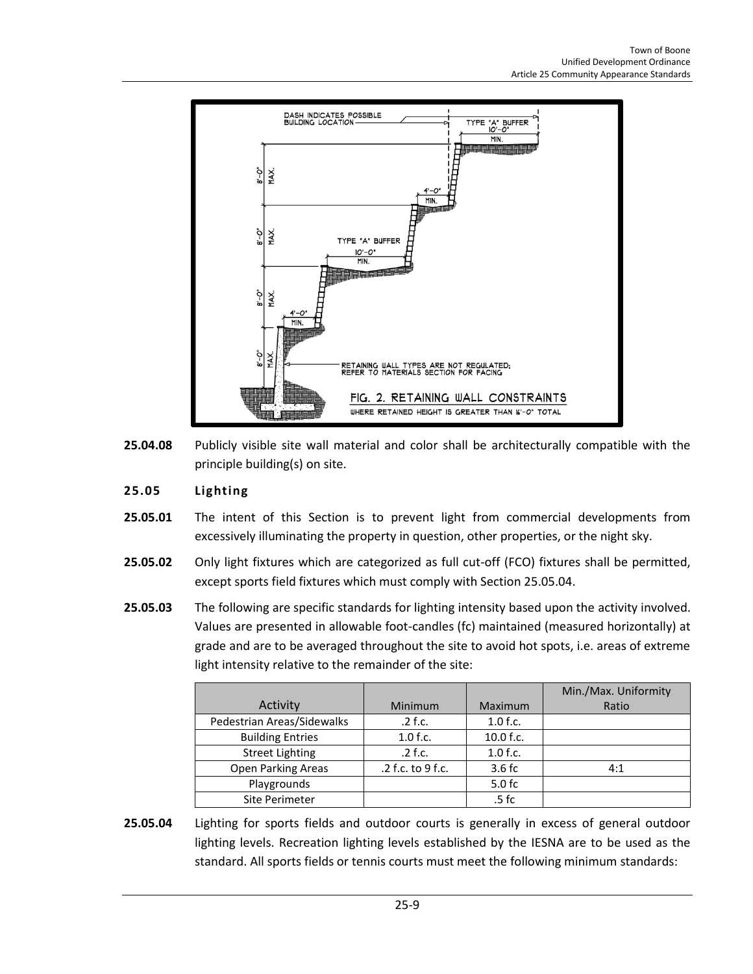

**25.04.08** Publicly visible site wall material and color shall be architecturally compatible with the principle building(s) on site.

## <span id="page-8-0"></span>**25.05 Lighting**

- **25.05.01** The intent of this Section is to prevent light from commercial developments from excessively illuminating the property in question, other properties, or the night sky.
- **25.05.02** Only light fixtures which are categorized as full cut-off (FCO) fixtures shall be permitted, except sports field fixtures which must comply with Section 25.05.04.
- **25.05.03** The following are specific standards for lighting intensity based upon the activity involved. Values are presented in allowable foot-candles (fc) maintained (measured horizontally) at grade and are to be averaged throughout the site to avoid hot spots, i.e. areas of extreme light intensity relative to the remainder of the site:

|                            |                   |            | Min./Max. Uniformity |
|----------------------------|-------------------|------------|----------------------|
| Activity                   | <b>Minimum</b>    | Maximum    | Ratio                |
| Pedestrian Areas/Sidewalks | $.2$ f.c.         | $1.0$ f.c. |                      |
| <b>Building Entries</b>    | $1.0$ f.c.        | 10.0 f.c.  |                      |
| <b>Street Lighting</b>     | $.2$ f.c.         | $1.0$ f.c. |                      |
| Open Parking Areas         | .2 f.c. to 9 f.c. | 3.6fc      | 4:1                  |
| Playgrounds                |                   | $5.0$ fc   |                      |
| Site Perimeter             |                   | $.5$ fc    |                      |

**25.05.04** Lighting for sports fields and outdoor courts is generally in excess of general outdoor lighting levels. Recreation lighting levels established by the IESNA are to be used as the standard. All sports fields or tennis courts must meet the following minimum standards: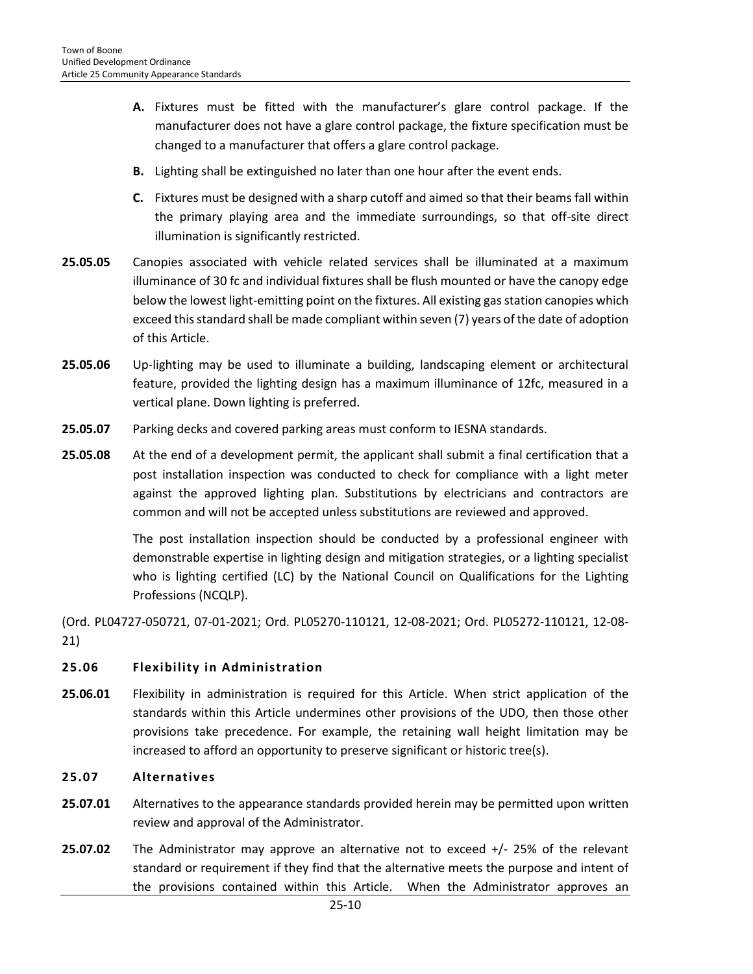- **A.** Fixtures must be fitted with the manufacturer's glare control package. If the manufacturer does not have a glare control package, the fixture specification must be changed to a manufacturer that offers a glare control package.
- **B.** Lighting shall be extinguished no later than one hour after the event ends.
- **C.** Fixtures must be designed with a sharp cutoff and aimed so that their beams fall within the primary playing area and the immediate surroundings, so that off-site direct illumination is significantly restricted.
- **25.05.05** Canopies associated with vehicle related services shall be illuminated at a maximum illuminance of 30 fc and individual fixtures shall be flush mounted or have the canopy edge below the lowest light-emitting point on the fixtures. All existing gas station canopies which exceed this standard shall be made compliant within seven (7) years of the date of adoption of this Article.
- **25.05.06** Up-lighting may be used to illuminate a building, landscaping element or architectural feature, provided the lighting design has a maximum illuminance of 12fc, measured in a vertical plane. Down lighting is preferred.
- **25.05.07** Parking decks and covered parking areas must conform to IESNA standards.
- **25.05.08** At the end of a development permit, the applicant shall submit a final certification that a post installation inspection was conducted to check for compliance with a light meter against the approved lighting plan. Substitutions by electricians and contractors are common and will not be accepted unless substitutions are reviewed and approved.

The post installation inspection should be conducted by a professional engineer with demonstrable expertise in lighting design and mitigation strategies, or a lighting specialist who is lighting certified (LC) by the National Council on Qualifications for the Lighting Professions (NCQLP).

(Ord. PL04727-050721, 07-01-2021; Ord. PL05270-110121, 12-08-2021; Ord. PL05272-110121, 12-08- 21)

### <span id="page-9-0"></span>**25.06 Flexibility in Administration**

**25.06.01** Flexibility in administration is required for this Article. When strict application of the standards within this Article undermines other provisions of the UDO, then those other provisions take precedence. For example, the retaining wall height limitation may be increased to afford an opportunity to preserve significant or historic tree(s).

#### <span id="page-9-1"></span>**25.07 Alternatives**

- **25.07.01** Alternatives to the appearance standards provided herein may be permitted upon written review and approval of the Administrator.
- **25.07.02** The Administrator may approve an alternative not to exceed +/- 25% of the relevant standard or requirement if they find that the alternative meets the purpose and intent of the provisions contained within this Article. When the Administrator approves an